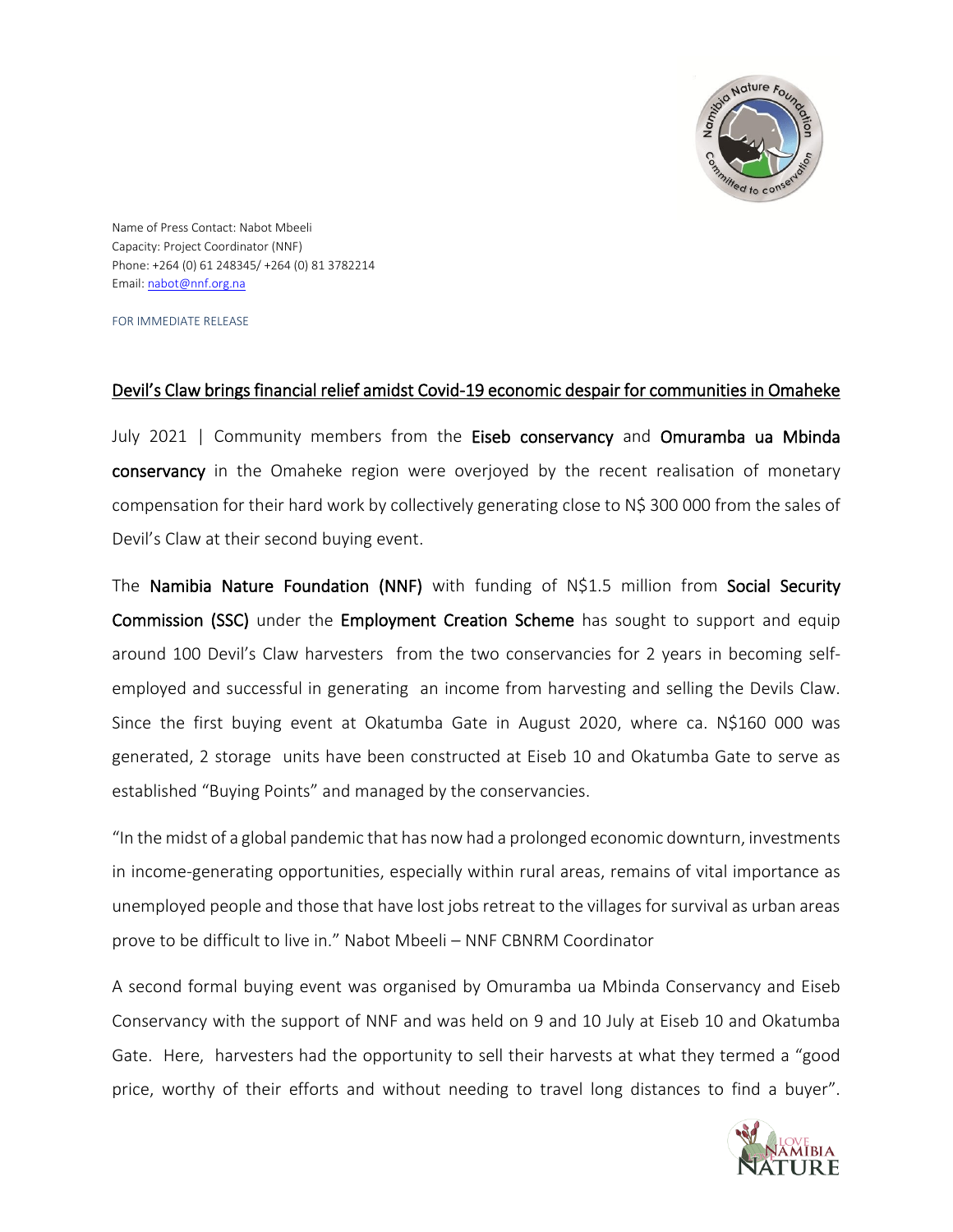

Name of Press Contact: Nabot Mbeeli Capacity: Project Coordinator (NNF) Phone: +264 (0) 61 248345/ +264 (0) 81 3782214 Email: [nabot@nnf.org.na](mailto:nabot@nnf.org.na)

FOR IMMEDIATE RELEASE

## Devil's Claw brings financial relief amidst Covid-19 economic despair for communities in Omaheke

July 2021 | Community members from the Eiseb conservancy and Omuramba ua Mbinda conservancy in the Omaheke region were overjoyed by the recent realisation of monetary compensation for their hard work by collectively generating close to N\$ 300 000 from the sales of Devil's Claw at their second buying event.

The Namibia Nature Foundation (NNF) with funding of N\$1.5 million from Social Security Commission (SSC) under the Employment Creation Scheme has sought to support and equip around 100 Devil's Claw harvesters from the two conservancies for 2 years in becoming selfemployed and successful in generating an income from harvesting and selling the Devils Claw. Since the first buying event at Okatumba Gate in August 2020, where ca. N\$160 000 was generated, 2 storage units have been constructed at Eiseb 10 and Okatumba Gate to serve as established "Buying Points" and managed by the conservancies.

"In the midst of a global pandemic that has now had a prolonged economic downturn, investments in income-generating opportunities, especially within rural areas, remains of vital importance as unemployed people and those that have lost jobs retreat to the villages for survival as urban areas prove to be difficult to live in." Nabot Mbeeli – NNF CBNRM Coordinator

A second formal buying event was organised by Omuramba ua Mbinda Conservancy and Eiseb Conservancy with the support of NNF and was held on 9 and 10 July at Eiseb 10 and Okatumba Gate. Here, harvesters had the opportunity to sell their harvests at what they termed a "good price, worthy of their efforts and without needing to travel long distances to find a buyer".

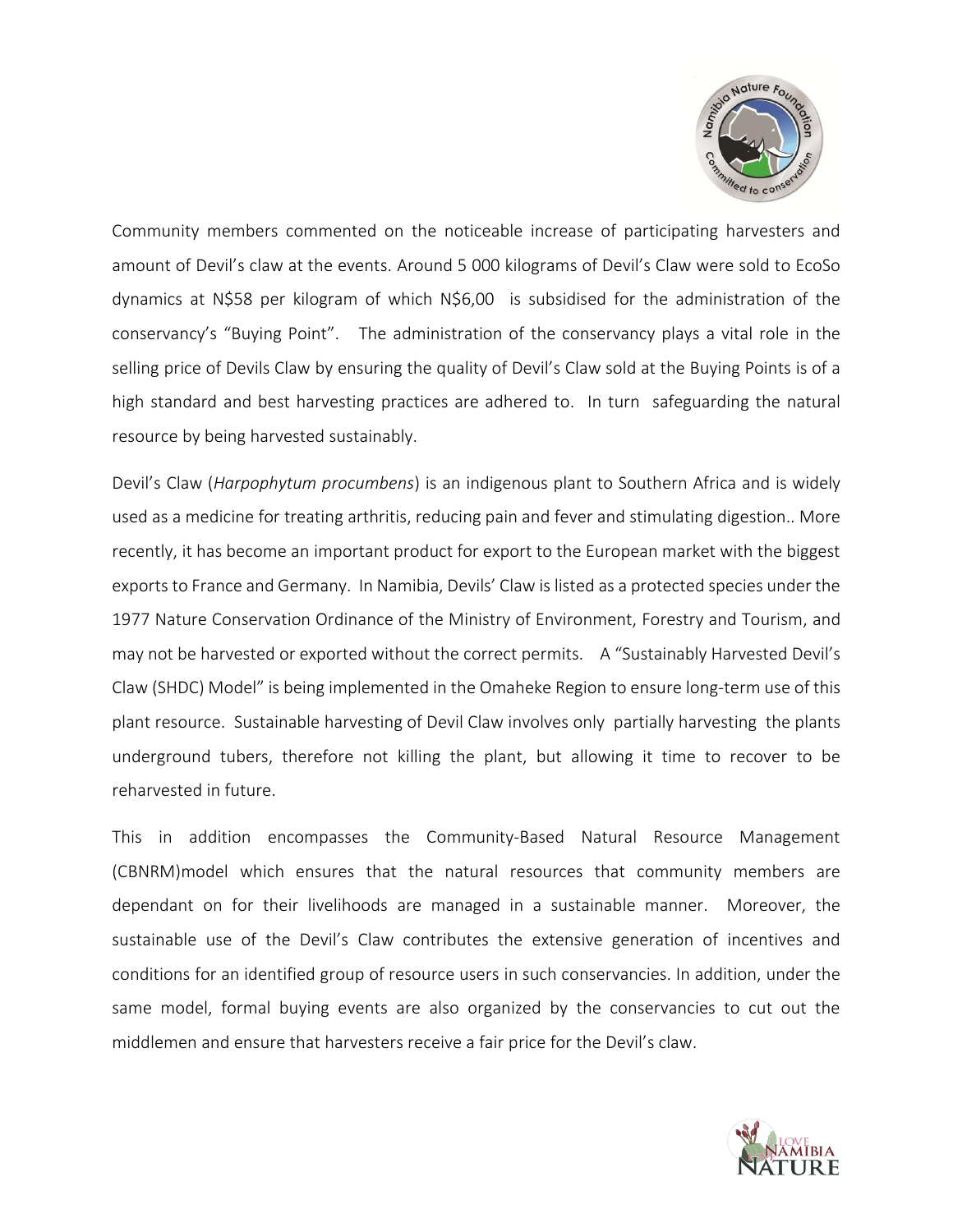

Community members commented on the noticeable increase of participating harvesters and amount of Devil's claw at the events. Around 5 000 kilograms of Devil's Claw were sold to EcoSo dynamics at N\$58 per kilogram of which N\$6,00 is subsidised for the administration of the conservancy's "Buying Point". The administration of the conservancy plays a vital role in the selling price of Devils Claw by ensuring the quality of Devil's Claw sold at the Buying Points is of a high standard and best harvesting practices are adhered to. In turn safeguarding the natural resource by being harvested sustainably.

Devil's Claw (*Harpophytum procumbens*) is an indigenous plant to Southern Africa and is widely used as a medicine for treating arthritis, reducing pain and fever and stimulating digestion.. More recently, it has become an important product for export to the European market with the biggest exports to France and Germany. In Namibia, Devils' Claw is listed as a protected species under the 1977 Nature Conservation Ordinance of the Ministry of Environment, Forestry and Tourism, and may not be harvested or exported without the correct permits. A "Sustainably Harvested Devil's Claw (SHDC) Model" is being implemented in the Omaheke Region to ensure long-term use of this plant resource. Sustainable harvesting of Devil Claw involves only partially harvesting the plants underground tubers, therefore not killing the plant, but allowing it time to recover to be reharvested in future.

This in addition encompasses the Community-Based Natural Resource Management (CBNRM)model which ensures that the natural resources that community members are dependant on for their livelihoods are managed in a sustainable manner. Moreover, the sustainable use of the Devil's Claw contributes the extensive generation of incentives and conditions for an identified group of resource users in such conservancies. In addition, under the same model, formal buying events are also organized by the conservancies to cut out the middlemen and ensure that harvesters receive a fair price for the Devil's claw.

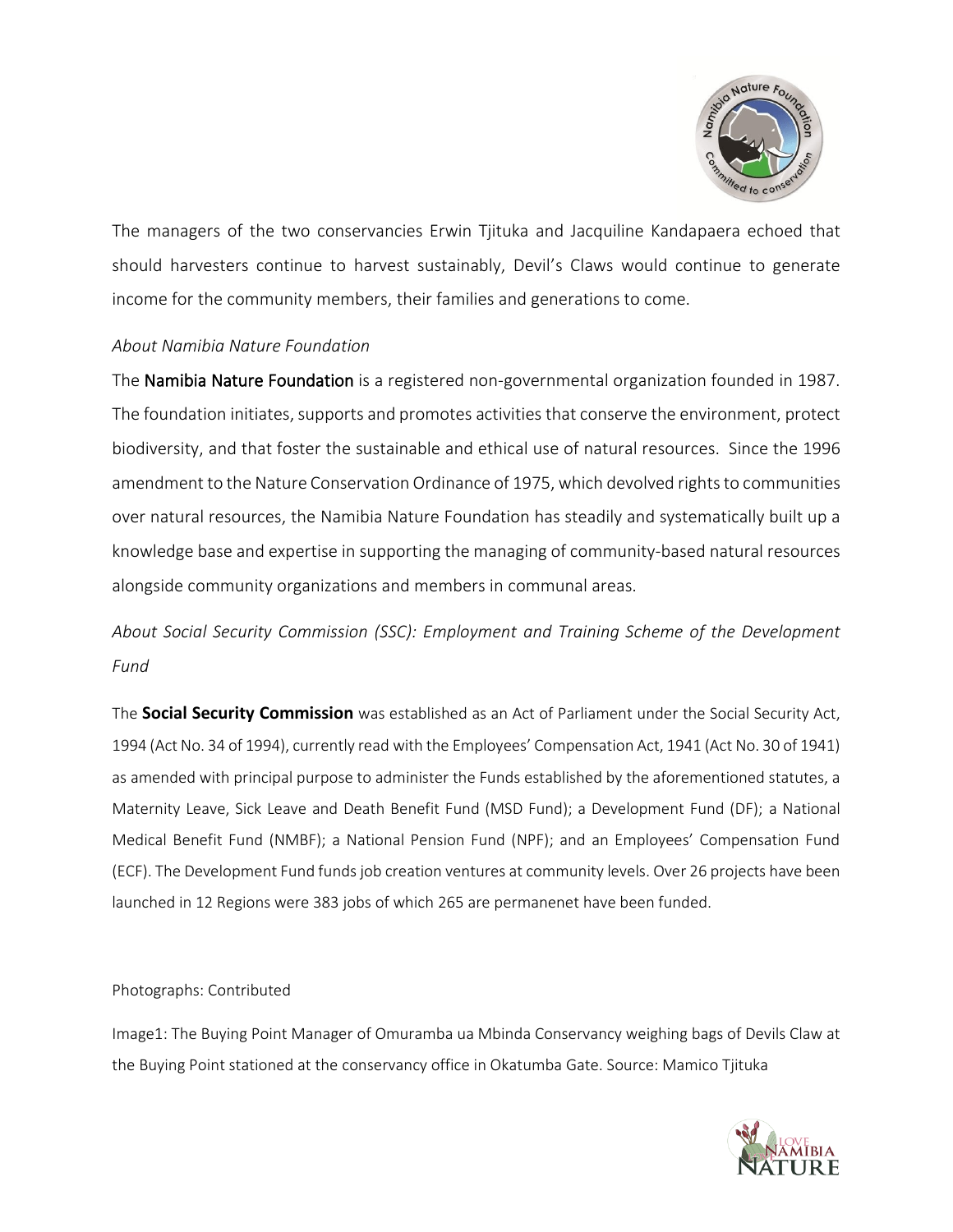

The managers of the two conservancies Erwin Tjituka and Jacquiline Kandapaera echoed that should harvesters continue to harvest sustainably, Devil's Claws would continue to generate income for the community members, their families and generations to come.

## *About Namibia Nature Foundation*

The Namibia Nature Foundation is a registered non-governmental organization founded in 1987. The foundation initiates, supports and promotes activities that conserve the environment, protect biodiversity, and that foster the sustainable and ethical use of natural resources. Since the 1996 amendment to the Nature Conservation Ordinance of 1975, which devolved rights to communities over natural resources, the Namibia Nature Foundation has steadily and systematically built up a knowledge base and expertise in supporting the managing of community-based natural resources alongside community organizations and members in communal areas.

*About Social Security Commission (SSC): Employment and Training Scheme of the Development Fund*

The **Social Security Commission** was established as an Act of Parliament under the Social Security Act, 1994 (Act No. 34 of 1994), currently read with the Employees' Compensation Act, 1941 (Act No. 30 of 1941) as amended with principal purpose to administer the Funds established by the aforementioned statutes, a Maternity Leave, Sick Leave and Death Benefit Fund (MSD Fund); a Development Fund (DF); a National Medical Benefit Fund (NMBF); a National Pension Fund (NPF); and an Employees' Compensation Fund (ECF). The Development Fund funds job creation ventures at community levels. Over 26 projects have been launched in 12 Regions were 383 jobs of which 265 are permanenet have been funded.

## Photographs: Contributed

Image1: The Buying Point Manager of Omuramba ua Mbinda Conservancy weighing bags of Devils Claw at the Buying Point stationed at the conservancy office in Okatumba Gate. Source: Mamico Tjituka